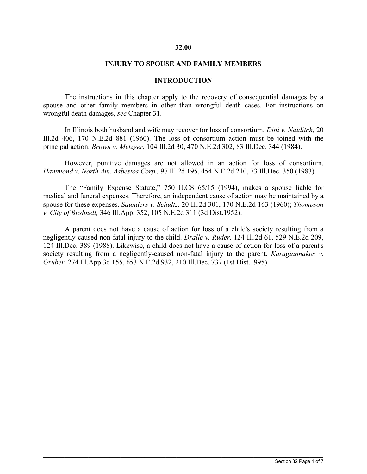#### **32.00**

#### **INJURY TO SPOUSE AND FAMILY MEMBERS**

#### **INTRODUCTION**

The instructions in this chapter apply to the recovery of consequential damages by a spouse and other family members in other than wrongful death cases. For instructions on wrongful death damages, *see* Chapter 31.

In Illinois both husband and wife may recover for loss of consortium. *Dini v. Naiditch,* 20 Ill.2d 406, 170 N.E.2d 881 (1960). The loss of consortium action must be joined with the principal action. *Brown v. Metzger,* 104 Ill.2d 30, 470 N.E.2d 302, 83 Ill.Dec. 344 (1984).

However, punitive damages are not allowed in an action for loss of consortium. *Hammond v. North Am. Asbestos Corp.,* 97 Ill.2d 195, 454 N.E.2d 210, 73 Ill.Dec. 350 (1983).

The "Family Expense Statute," 750 ILCS 65/15 (1994), makes a spouse liable for medical and funeral expenses. Therefore, an independent cause of action may be maintained by a spouse for these expenses. *Saunders v. Schultz,* 20 Ill.2d 301, 170 N.E.2d 163 (1960); *Thompson v. City of Bushnell,* 346 Ill.App. 352, 105 N.E.2d 311 (3d Dist.1952).

A parent does not have a cause of action for loss of a child's society resulting from a negligently-caused non-fatal injury to the child. *Dralle v. Ruder,* 124 Ill.2d 61, 529 N.E.2d 209, 124 Ill.Dec. 389 (1988). Likewise, a child does not have a cause of action for loss of a parent's society resulting from a negligently-caused non-fatal injury to the parent. *Karagiannakos v. Gruber,* 274 Ill.App.3d 155, 653 N.E.2d 932, 210 Ill.Dec. 737 (1st Dist.1995).

 $\_$  ,  $\_$  ,  $\_$  ,  $\_$  ,  $\_$  ,  $\_$  ,  $\_$  ,  $\_$  ,  $\_$  ,  $\_$  ,  $\_$  ,  $\_$  ,  $\_$  ,  $\_$  ,  $\_$  ,  $\_$  ,  $\_$  ,  $\_$  ,  $\_$  ,  $\_$  ,  $\_$  ,  $\_$  ,  $\_$  ,  $\_$  ,  $\_$  ,  $\_$  ,  $\_$  ,  $\_$  ,  $\_$  ,  $\_$  ,  $\_$  ,  $\_$  ,  $\_$  ,  $\_$  ,  $\_$  ,  $\_$  ,  $\_$  ,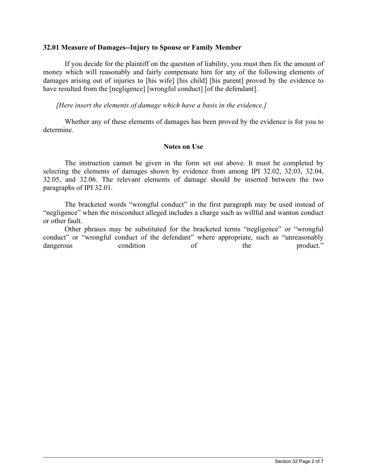#### **32.01 Measure of Damages--Injury to Spouse or Family Member**

If you decide for the plaintiff on the question of liability, you must then fix the amount of money which will reasonably and fairly compensate him for any of the following elements of damages arising out of injuries to [his wife] [his child] [his parent] proved by the evidence to have resulted from the [negligence] [wrongful conduct] [of the defendant].

*[Here insert the elements of damage which have a basis in the evidence.]* 

Whether any of these elements of damages has been proved by the evidence is for you to determine.

## **Notes on Use**

The instruction cannot be given in the form set out above. It must be completed by selecting the elements of damages shown by evidence from among IPI 32.02, 32.03, 32.04, 32.05, and 32.06. The relevant elements of damage should be inserted between the two paragraphs of IPI 32.01.

The bracketed words "wrongful conduct" in the first paragraph may be used instead of "negligence" when the misconduct alleged includes a charge such as willful and wanton conduct or other fault.

Other phrases may be substituted for the bracketed terms "negligence" or "wrongful conduct" or "wrongful conduct of the defendant" where appropriate, such as "unreasonably dangerous condition of the product."

 $\_$  ,  $\_$  ,  $\_$  ,  $\_$  ,  $\_$  ,  $\_$  ,  $\_$  ,  $\_$  ,  $\_$  ,  $\_$  ,  $\_$  ,  $\_$  ,  $\_$  ,  $\_$  ,  $\_$  ,  $\_$  ,  $\_$  ,  $\_$  ,  $\_$  ,  $\_$  ,  $\_$  ,  $\_$  ,  $\_$  ,  $\_$  ,  $\_$  ,  $\_$  ,  $\_$  ,  $\_$  ,  $\_$  ,  $\_$  ,  $\_$  ,  $\_$  ,  $\_$  ,  $\_$  ,  $\_$  ,  $\_$  ,  $\_$  ,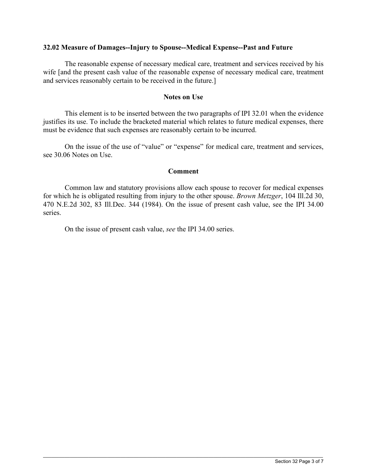## **32.02 Measure of Damages--Injury to Spouse--Medical Expense--Past and Future**

The reasonable expense of necessary medical care, treatment and services received by his wife [and the present cash value of the reasonable expense of necessary medical care, treatment and services reasonably certain to be received in the future.]

#### **Notes on Use**

 This element is to be inserted between the two paragraphs of IPI 32.01 when the evidence justifies its use. To include the bracketed material which relates to future medical expenses, there must be evidence that such expenses are reasonably certain to be incurred.

On the issue of the use of "value" or "expense" for medical care, treatment and services, see 30.06 Notes on Use.

## **Comment**

Common law and statutory provisions allow each spouse to recover for medical expenses for which he is obligated resulting from injury to the other spouse. *Brown Metzger*, 104 Ill.2d 30, 470 N.E.2d 302, 83 Ill.Dec. 344 (1984). On the issue of present cash value, see the IPI 34.00 series.

 $\_$  ,  $\_$  ,  $\_$  ,  $\_$  ,  $\_$  ,  $\_$  ,  $\_$  ,  $\_$  ,  $\_$  ,  $\_$  ,  $\_$  ,  $\_$  ,  $\_$  ,  $\_$  ,  $\_$  ,  $\_$  ,  $\_$  ,  $\_$  ,  $\_$  ,  $\_$  ,  $\_$  ,  $\_$  ,  $\_$  ,  $\_$  ,  $\_$  ,  $\_$  ,  $\_$  ,  $\_$  ,  $\_$  ,  $\_$  ,  $\_$  ,  $\_$  ,  $\_$  ,  $\_$  ,  $\_$  ,  $\_$  ,  $\_$  ,

On the issue of present cash value, *see* the IPI 34.00 series.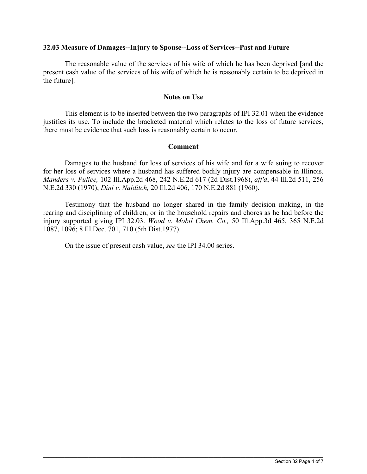## **32.03 Measure of Damages--Injury to Spouse--Loss of Services--Past and Future**

The reasonable value of the services of his wife of which he has been deprived [and the present cash value of the services of his wife of which he is reasonably certain to be deprived in the future].

## **Notes on Use**

 This element is to be inserted between the two paragraphs of IPI 32.01 when the evidence justifies its use. To include the bracketed material which relates to the loss of future services, there must be evidence that such loss is reasonably certain to occur.

## **Comment**

Damages to the husband for loss of services of his wife and for a wife suing to recover for her loss of services where a husband has suffered bodily injury are compensable in Illinois. *Manders v. Pulice,* 102 Ill.App.2d 468, 242 N.E.2d 617 (2d Dist.1968), *aff'd*, 44 Ill.2d 511, 256 N.E.2d 330 (1970); *Dini v. Naiditch,* 20 Ill.2d 406, 170 N.E.2d 881 (1960).

Testimony that the husband no longer shared in the family decision making, in the rearing and disciplining of children, or in the household repairs and chores as he had before the injury supported giving IPI 32.03. *Wood v. Mobil Chem. Co.,* 50 Ill.App.3d 465, 365 N.E.2d 1087, 1096; 8 Ill.Dec. 701, 710 (5th Dist.1977).

 $\_$  ,  $\_$  ,  $\_$  ,  $\_$  ,  $\_$  ,  $\_$  ,  $\_$  ,  $\_$  ,  $\_$  ,  $\_$  ,  $\_$  ,  $\_$  ,  $\_$  ,  $\_$  ,  $\_$  ,  $\_$  ,  $\_$  ,  $\_$  ,  $\_$  ,  $\_$  ,  $\_$  ,  $\_$  ,  $\_$  ,  $\_$  ,  $\_$  ,  $\_$  ,  $\_$  ,  $\_$  ,  $\_$  ,  $\_$  ,  $\_$  ,  $\_$  ,  $\_$  ,  $\_$  ,  $\_$  ,  $\_$  ,  $\_$  ,

On the issue of present cash value, *see* the IPI 34.00 series.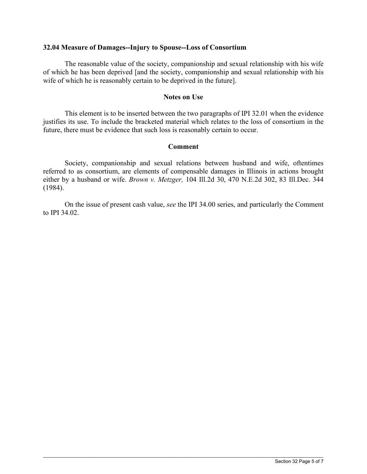## **32.04 Measure of Damages--Injury to Spouse--Loss of Consortium**

The reasonable value of the society, companionship and sexual relationship with his wife of which he has been deprived [and the society, companionship and sexual relationship with his wife of which he is reasonably certain to be deprived in the future].

## **Notes on Use**

 This element is to be inserted between the two paragraphs of IPI 32.01 when the evidence justifies its use. To include the bracketed material which relates to the loss of consortium in the future, there must be evidence that such loss is reasonably certain to occur.

# **Comment**

Society, companionship and sexual relations between husband and wife, oftentimes referred to as consortium, are elements of compensable damages in Illinois in actions brought either by a husband or wife. *Brown v. Metzger,* 104 Ill.2d 30, 470 N.E.2d 302, 83 Ill.Dec. 344 (1984).

On the issue of present cash value, *see* the IPI 34.00 series, and particularly the Comment to IPI 34.02.

 $\_$  ,  $\_$  ,  $\_$  ,  $\_$  ,  $\_$  ,  $\_$  ,  $\_$  ,  $\_$  ,  $\_$  ,  $\_$  ,  $\_$  ,  $\_$  ,  $\_$  ,  $\_$  ,  $\_$  ,  $\_$  ,  $\_$  ,  $\_$  ,  $\_$  ,  $\_$  ,  $\_$  ,  $\_$  ,  $\_$  ,  $\_$  ,  $\_$  ,  $\_$  ,  $\_$  ,  $\_$  ,  $\_$  ,  $\_$  ,  $\_$  ,  $\_$  ,  $\_$  ,  $\_$  ,  $\_$  ,  $\_$  ,  $\_$  ,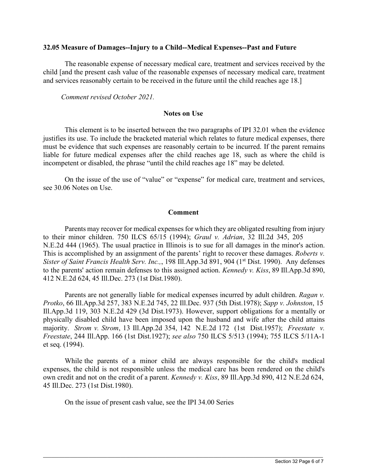#### **32.05 Measure of Damages--Injury to a Child--Medical Expenses--Past and Future**

The reasonable expense of necessary medical care, treatment and services received by the child [and the present cash value of the reasonable expenses of necessary medical care, treatment and services reasonably certain to be received in the future until the child reaches age 18.]

*Comment revised October 2021.*

## **Notes on Use**

This element is to be inserted between the two paragraphs of IPI 32.01 when the evidence justifies its use. To include the bracketed material which relates to future medical expenses, there must be evidence that such expenses are reasonably certain to be incurred. If the parent remains liable for future medical expenses after the child reaches age 18, such as where the child is incompetent or disabled, the phrase "until the child reaches age 18" may be deleted.

On the issue of the use of "value" or "expense" for medical care, treatment and services, see 30.06 Notes on Use.

# **Comment**

Parents may recover for medical expenses for which they are obligated resulting from injury to their minor children. 750 ILCS 65/15 (1994); *Graul v. Adrian*, 32 Ill.2d 345, 205 N.E.2d 444 (1965). The usual practice in Illinois is to sue for all damages in the minor's action. This is accomplished by an assignment of the parents' right to recover these damages. *Roberts v. Sister of Saint Francis Health Serv. Inc.,,* 198 Ill.App.3d 891, 904 (1<sup>st</sup> Dist. 1990). Any defenses to the parents' action remain defenses to this assigned action. *Kennedy v. Kiss*, 89 Ill.App.3d 890, 412 N.E.2d 624, 45 Ill.Dec. 273 (1st Dist.1980).

Parents are not generally liable for medical expenses incurred by adult children. *Ragan v. Protko*, 66 Ill.App.3d 257, 383 N.E.2d 745, 22 Ill.Dec. 937 (5th Dist.1978); *Sapp v. Johnston*, 15 Ill.App.3d 119, 303 N.E.2d 429 (3d Dist.1973). However, support obligations for a mentally or physically disabled child have been imposed upon the husband and wife after the child attains majority. *Strom v. Strom*, 13 Ill.App.2d 354, 142 N.E.2d 172 (1st Dist.1957); *Freestate v. Freestate*, 244 Ill.App. 166 (1st Dist.1927); *see also* 750 ILCS 5/513 (1994); 755 ILCS 5/11A-1 et seq. (1994).

While the parents of a minor child are always responsible for the child's medical expenses, the child is not responsible unless the medical care has been rendered on the child's own credit and not on the credit of a parent. *Kennedy v. Kiss*, 89 Ill.App.3d 890, 412 N.E.2d 624, 45 Ill.Dec. 273 (1st Dist.1980).

 $\_$  ,  $\_$  ,  $\_$  ,  $\_$  ,  $\_$  ,  $\_$  ,  $\_$  ,  $\_$  ,  $\_$  ,  $\_$  ,  $\_$  ,  $\_$  ,  $\_$  ,  $\_$  ,  $\_$  ,  $\_$  ,  $\_$  ,  $\_$  ,  $\_$  ,  $\_$  ,  $\_$  ,  $\_$  ,  $\_$  ,  $\_$  ,  $\_$  ,  $\_$  ,  $\_$  ,  $\_$  ,  $\_$  ,  $\_$  ,  $\_$  ,  $\_$  ,  $\_$  ,  $\_$  ,  $\_$  ,  $\_$  ,  $\_$  ,

On the issue of present cash value, see the IPI 34.00 Series